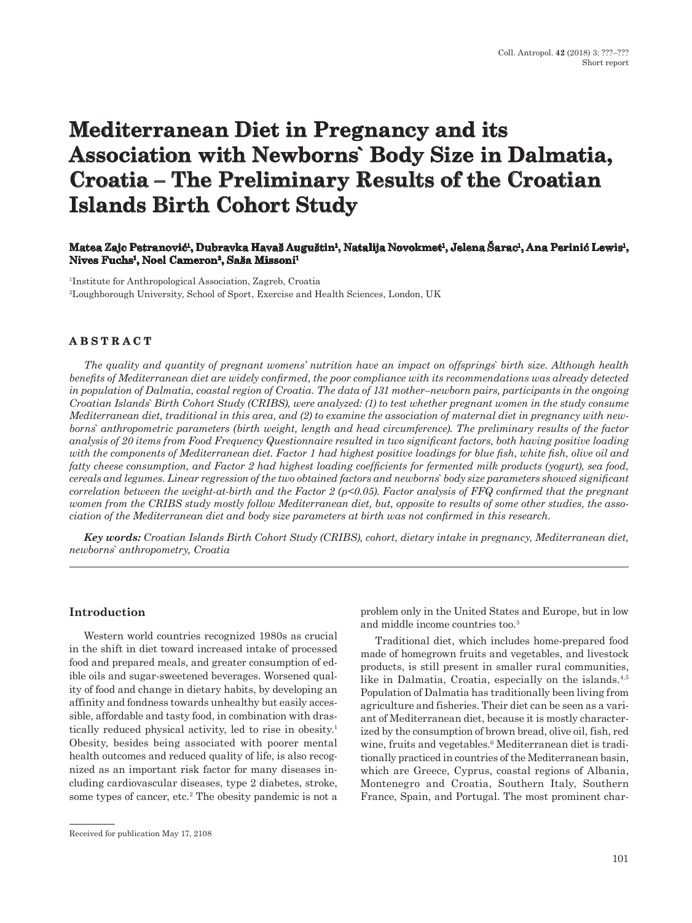# **Mediterranean Diet in Pregnancy and its Association with Newborns` Body Size in Dalmatia, Croatia – The Preliminary Results of the Croatian Islands Birth Cohort Study**

### **Matea Zajc Petranović1, Dubravka Havaš Auguštin1, Natalija Novokmet1, Jelena Šarac1, Ana Perinić Lewis1, Nives Fuchs1, Noel Cameron2, Saša Missoni1**

1Institute for Anthropological Association, Zagreb, Croatia 2Loughborough University, School of Sport, Exercise and Health Sciences, London, UK

## **ABSTRACT**

*The quality and quantity of pregnant womens' nutrition have an impact on offsprings` birth size. Although health benefits of Mediterranean diet are widely confirmed, the poor compliance with its recommendations was already detected in population of Dalmatia, coastal region of Croatia. The data of 131 mother–newborn pairs, participants in the ongoing Croatian Islands` Birth Cohort Study (CRIBS), were analyzed: (1) to test whether pregnant women in the study consume Mediterranean diet, traditional in this area, and (2) to examine the association of maternal diet in pregnancy with newborns` anthropometric parameters (birth weight, length and head circumference). The preliminary results of the factor analysis of 20 items from Food Frequency Questionnaire resulted in two significant factors, both having positive loading with the components of Mediterranean diet. Factor 1 had highest positive loadings for blue fish, white fish, olive oil and fatty cheese consumption, and Factor 2 had highest loading coefficients for fermented milk products (yogurt), sea food, cereals and legumes. Linear regression of the two obtained factors and newborns` body size parameters showed significant correlation between the weight-at-birth and the Factor 2 (p<0.05). Factor analysis of FFQ confirmed that the pregnant women from the CRIBS study mostly follow Mediterranean diet, but, opposite to results of some other studies, the association of the Mediterranean diet and body size parameters at birth was not confirmed in this research.*

*Key words: Croatian Islands Birth Cohort Study (CRIBS), cohort, dietary intake in pregnancy, Mediterranean diet, newborns` anthropometry, Croatia*

#### **Introduction**

Western world countries recognized 1980s as crucial in the shift in diet toward increased intake of processed food and prepared meals, and greater consumption of edible oils and sugar-sweetened beverages. Worsened quality of food and change in dietary habits, by developing an affinity and fondness towards unhealthy but easily accessible, affordable and tasty food, in combination with drastically reduced physical activity, led to rise in obesity.1 Obesity, besides being associated with poorer mental health outcomes and reduced quality of life, is also recognized as an important risk factor for many diseases including cardiovascular diseases, type 2 diabetes, stroke, some types of cancer, etc.<sup>2</sup> The obesity pandemic is not a problem only in the United States and Europe, but in low and middle income countries too.3

Traditional diet, which includes home-prepared food made of homegrown fruits and vegetables, and livestock products, is still present in smaller rural communities, like in Dalmatia, Croatia, especially on the islands.<sup>4,5</sup> Population of Dalmatia has traditionally been living from agriculture and fisheries. Their diet can be seen as a variant of Mediterranean diet, because it is mostly characterized by the consumption of brown bread, olive oil, fish, red wine, fruits and vegetables.<sup>6</sup> Mediterranean diet is traditionally practiced in countries of the Mediterranean basin, which are Greece, Cyprus, coastal regions of Albania, Montenegro and Croatia, Southern Italy, Southern France, Spain, and Portugal. The most prominent char-

Received for publication May 17, 2108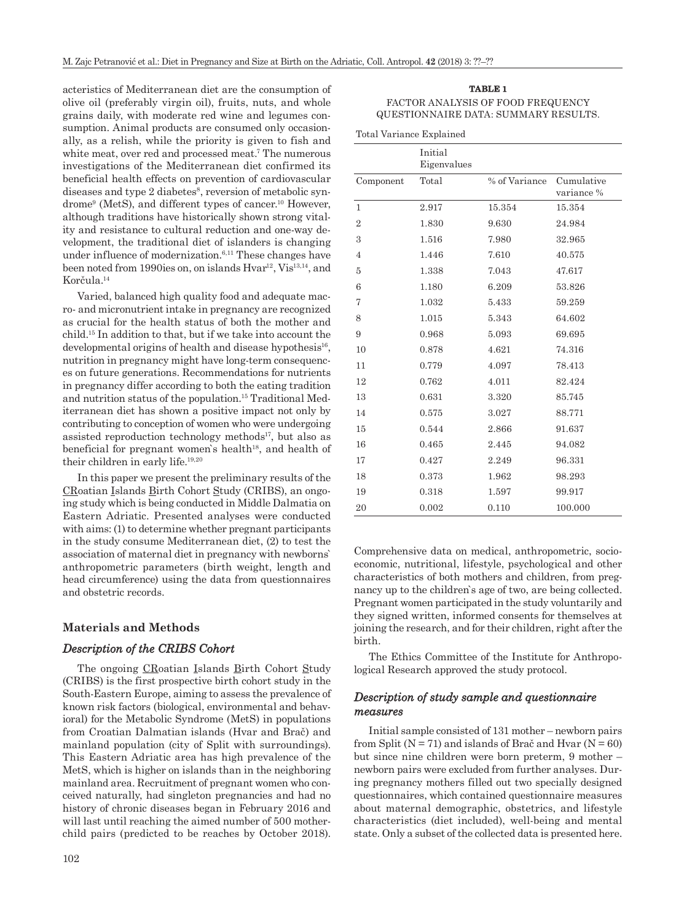acteristics of Mediterranean diet are the consumption of olive oil (preferably virgin oil), fruits, nuts, and whole grains daily, with moderate red wine and legumes consumption. Animal products are consumed only occasionally, as a relish, while the priority is given to fish and white meat, over red and processed meat.<sup>7</sup> The numerous investigations of the Mediterranean diet confirmed its beneficial health effects on prevention of cardiovascular diseases and type 2 diabetes<sup>8</sup>, reversion of metabolic syndrome9 (MetS), and different types of cancer.10 However, although traditions have historically shown strong vitality and resistance to cultural reduction and one-way development, the traditional diet of islanders is changing under influence of modernization.<sup>6,11</sup> These changes have been noted from 1990ies on, on islands Hvar<sup>12</sup>, Vis<sup>13,14</sup>, and Korčula.<sup>14</sup>

Varied, balanced high quality food and adequate macro- and micronutrient intake in pregnancy are recognized as crucial for the health status of both the mother and child.15 In addition to that, but if we take into account the developmental origins of health and disease hypothesis<sup>16</sup>, nutrition in pregnancy might have long-term consequences on future generations. Recommendations for nutrients in pregnancy differ according to both the eating tradition and nutrition status of the population.15 Traditional Mediterranean diet has shown a positive impact not only by contributing to conception of women who were undergoing assisted reproduction technology methods $17$ , but also as beneficial for pregnant women's health<sup>18</sup>, and health of their children in early life.19,20

In this paper we present the preliminary results of the CRoatian Islands Birth Cohort Study (CRIBS), an ongoing study which is being conducted in Middle Dalmatia on Eastern Adriatic. Presented analyses were conducted with aims: (1) to determine whether pregnant participants in the study consume Mediterranean diet, (2) to test the association of maternal diet in pregnancy with newborns` anthropometric parameters (birth weight, length and head circumference) using the data from questionnaires and obstetric records.

#### **Materials and Methods**

#### *Description of the CRIBS Cohort*

The ongoing CRoatian Islands Birth Cohort Study (CRIBS) is the first prospective birth cohort study in the South-Eastern Europe, aiming to assess the prevalence of known risk factors (biological, environmental and behavioral) for the Metabolic Syndrome (MetS) in populations from Croatian Dalmatian islands (Hvar and Brač) and mainland population (city of Split with surroundings). This Eastern Adriatic area has high prevalence of the MetS, which is higher on islands than in the neighboring mainland area. Recruitment of pregnant women who conceived naturally, had singleton pregnancies and had no history of chronic diseases began in February 2016 and will last until reaching the aimed number of 500 motherchild pairs (predicted to be reaches by October 2018).

FACTOR ANALYSIS OF FOOD FREQUENCY QUESTIONNAIRE DATA: SUMMARY RESULTS.

Total Variance Explained

|                | Initial<br>Eigenvalues |               |                          |
|----------------|------------------------|---------------|--------------------------|
| Component      | Total                  | % of Variance | Cumulative<br>variance % |
| 1              | 2.917                  | 15.354        | 15.354                   |
| $\overline{2}$ | 1.830                  | 9.630         | 24.984                   |
| 3              | 1.516                  | 7.980         | 32.965                   |
| 4              | 1.446                  | 7.610         | 40.575                   |
| 5              | 1.338                  | 7.043         | 47.617                   |
| 6              | 1.180                  | 6.209         | 53.826                   |
| 7              | 1.032                  | 5.433         | 59.259                   |
| 8              | 1.015                  | 5.343         | 64.602                   |
| 9              | 0.968                  | 5.093         | 69.695                   |
| 10             | 0.878                  | 4.621         | 74.316                   |
| 11             | 0.779                  | 4.097         | 78.413                   |
| 12             | 0.762                  | 4.011         | 82.424                   |
| 13             | 0.631                  | 3.320         | 85.745                   |
| 14             | 0.575                  | 3.027         | 88.771                   |
| 15             | 0.544                  | 2.866         | 91.637                   |
| 16             | 0.465                  | 2.445         | 94.082                   |
| 17             | 0.427                  | 2.249         | 96.331                   |
| 18             | 0.373                  | 1.962         | 98.293                   |
| 19             | 0.318                  | 1.597         | 99.917                   |
| 20             | 0.002                  | 0.110         | 100.000                  |

Comprehensive data on medical, anthropometric, socioeconomic, nutritional, lifestyle, psychological and other characteristics of both mothers and children, from pregnancy up to the children`s age of two, are being collected. Pregnant women participated in the study voluntarily and they signed written, informed consents for themselves at joining the research, and for their children, right after the birth.

The Ethics Committee of the Institute for Anthropological Research approved the study protocol.

#### *Description of study sample and questionnaire measures*

Initial sample consisted of 131 mother – newborn pairs from Split ( $N = 71$ ) and islands of Brač and Hvar ( $N = 60$ ) but since nine children were born preterm, 9 mother – newborn pairs were excluded from further analyses. During pregnancy mothers filled out two specially designed questionnaires, which contained questionnaire measures about maternal demographic, obstetrics, and lifestyle characteristics (diet included), well-being and mental state. Only a subset of the collected data is presented here.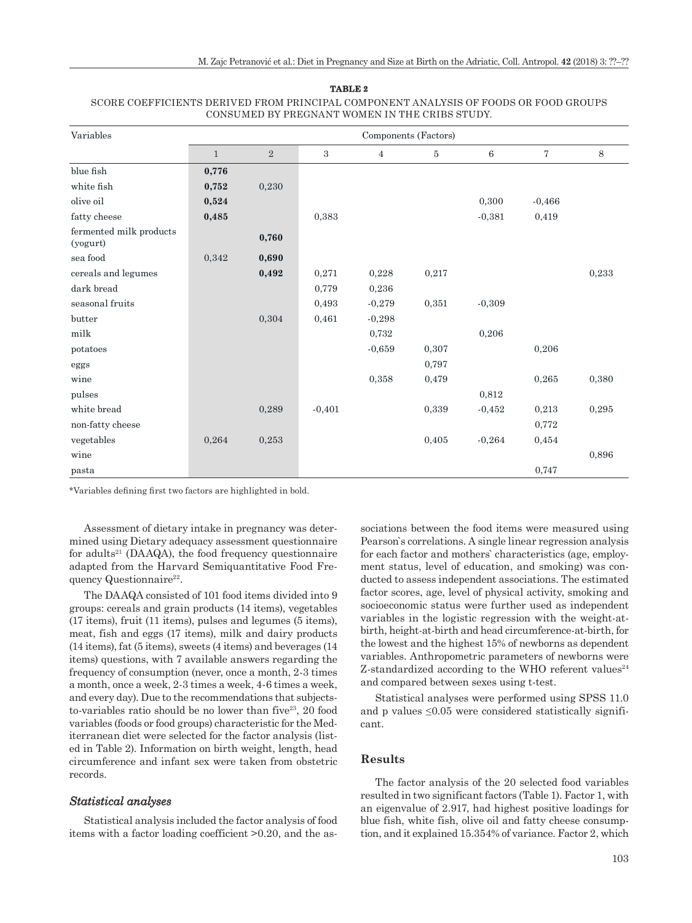| TABLE 2                                                                              |
|--------------------------------------------------------------------------------------|
| SCORE COEFFICIENTS DERIVED FROM PRINCIPAL COMPONENT ANALYSIS OF FOODS OR FOOD GROUPS |
| CONSUMED BY PREGNANT WOMEN IN THE CRIBS STUDY.                                       |

| Variables                           |              |       |          |                | Components (Factors) |                 |                |       |
|-------------------------------------|--------------|-------|----------|----------------|----------------------|-----------------|----------------|-------|
|                                     | $\mathbf{1}$ | 2     | 3        | $\overline{4}$ | $\bf 5$              | $6\phantom{1}6$ | $\overline{7}$ | 8     |
| blue fish                           | 0,776        |       |          |                |                      |                 |                |       |
| white fish                          | 0,752        | 0,230 |          |                |                      |                 |                |       |
| olive oil                           | 0,524        |       |          |                |                      | 0,300           | $-0,466$       |       |
| fatty cheese                        | 0,485        |       | 0,383    |                |                      | $-0,381$        | 0,419          |       |
| fermented milk products<br>(yogurt) |              | 0,760 |          |                |                      |                 |                |       |
| $\rm sea$ food                      | 0,342        | 0,690 |          |                |                      |                 |                |       |
| cereals and legumes                 |              | 0,492 | 0,271    | 0,228          | 0,217                |                 |                | 0,233 |
| dark bread                          |              |       | 0,779    | 0,236          |                      |                 |                |       |
| seasonal fruits                     |              |       | 0,493    | $-0,279$       | 0,351                | $-0,309$        |                |       |
| butter                              |              | 0,304 | 0,461    | $-0,298$       |                      |                 |                |       |
| milk                                |              |       |          | 0,732          |                      | 0,206           |                |       |
| potatoes                            |              |       |          | $-0,659$       | 0,307                |                 | 0,206          |       |
| eggs                                |              |       |          |                | 0,797                |                 |                |       |
| wine                                |              |       |          | 0,358          | 0,479                |                 | 0,265          | 0,380 |
| pulses                              |              |       |          |                |                      | 0,812           |                |       |
| white bread                         |              | 0,289 | $-0.401$ |                | 0,339                | $-0,452$        | 0,213          | 0,295 |
| non-fatty cheese                    |              |       |          |                |                      |                 | 0,772          |       |
| vegetables                          | 0,264        | 0,253 |          |                | 0.405                | $-0.264$        | 0,454          |       |
| wine                                |              |       |          |                |                      |                 |                | 0,896 |
| pasta                               |              |       |          |                |                      |                 | 0,747          |       |

\*Variables defining first two factors are highlighted in bold.

Assessment of dietary intake in pregnancy was determined using Dietary adequacy assessment questionnaire for adults<sup>21</sup> (DAAQA), the food frequency questionnaire adapted from the Harvard Semiquantitative Food Frequency Questionnaire<sup>22</sup>.

The DAAQA consisted of 101 food items divided into 9 groups: cereals and grain products (14 items), vegetables (17 items), fruit (11 items), pulses and legumes (5 items), meat, fish and eggs (17 items), milk and dairy products (14 items), fat (5 items), sweets (4 items) and beverages (14 items) questions, with 7 available answers regarding the frequency of consumption (never, once a month, 2-3 times a month, once a week, 2-3 times a week, 4-6 times a week, and every day). Due to the recommendations that subjectsto-variables ratio should be no lower than five<sup>23</sup>, 20 food variables (foods or food groups) characteristic for the Mediterranean diet were selected for the factor analysis (listed in Table 2). Information on birth weight, length, head circumference and infant sex were taken from obstetric records.

### *Statistical analyses*

Statistical analysis included the factor analysis of food items with a factor loading coefficient >0.20, and the associations between the food items were measured using Pearson`s correlations. A single linear regression analysis for each factor and mothers` characteristics (age, employment status, level of education, and smoking) was conducted to assess independent associations. The estimated factor scores, age, level of physical activity, smoking and socioeconomic status were further used as independent variables in the logistic regression with the weight-atbirth, height-at-birth and head circumference-at-birth, for the lowest and the highest 15% of newborns as dependent variables. Anthropometric parameters of newborns were  $Z$ -standardized according to the WHO referent values<sup>24</sup> and compared between sexes using t-test.

Statistical analyses were performed using SPSS 11.0 and p values  $\leq 0.05$  were considered statistically significant.

#### **Results**

The factor analysis of the 20 selected food variables resulted in two significant factors (Table 1). Factor 1, with an eigenvalue of 2.917, had highest positive loadings for blue fish, white fish, olive oil and fatty cheese consumption, and it explained 15.354% of variance. Factor 2, which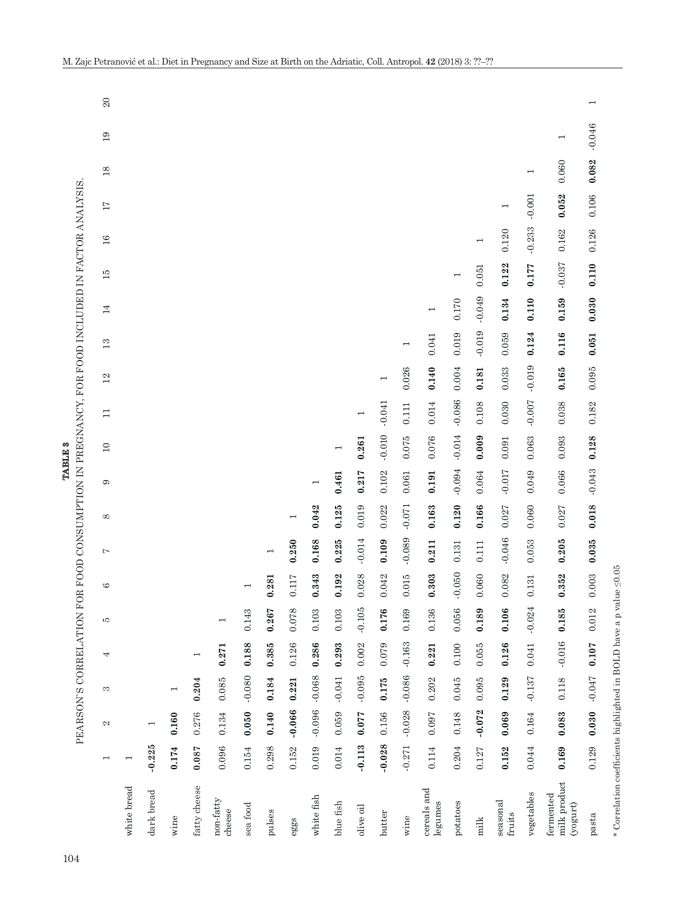|                                                                     |                          |          |                          |                          | PEARSON'S CORRELATION FOR FOOD CONSUMPTION IN PREGNANCY, FOR FOOD INCLUDED IN FACTOR ANALYSIS. |                |                          |                |                          | <b>TABLE 3</b>           |          |                |          |                |                          |          |                          |                          |                |                          |
|---------------------------------------------------------------------|--------------------------|----------|--------------------------|--------------------------|------------------------------------------------------------------------------------------------|----------------|--------------------------|----------------|--------------------------|--------------------------|----------|----------------|----------|----------------|--------------------------|----------|--------------------------|--------------------------|----------------|--------------------------|
|                                                                     | $\overline{\phantom{0}}$ | N        | S                        | 4                        | J,                                                                                             | G              | Ņ                        | $\infty$       | G                        | $\Box$                   | $\Box$   | 12             | 13       | 14             | 15                       | 16       | 17                       | $18\,$                   | 19             | 20                       |
| white bread                                                         | $\overline{\phantom{0}}$ |          |                          |                          |                                                                                                |                |                          |                |                          |                          |          |                |          |                |                          |          |                          |                          |                |                          |
| dark bread                                                          | $-0.225$                 |          |                          |                          |                                                                                                |                |                          |                |                          |                          |          |                |          |                |                          |          |                          |                          |                |                          |
| wine                                                                | 0.174                    | 0.160    | $\overline{\phantom{0}}$ |                          |                                                                                                |                |                          |                |                          |                          |          |                |          |                |                          |          |                          |                          |                |                          |
| fatty cheese                                                        | 0.087                    | 0.276    | 0.204                    | $\overline{\phantom{0}}$ |                                                                                                |                |                          |                |                          |                          |          |                |          |                |                          |          |                          |                          |                |                          |
| non-fatty<br>cheese                                                 | 0.096                    | 0.134    | 0.085                    | 0.271                    |                                                                                                |                |                          |                |                          |                          |          |                |          |                |                          |          |                          |                          |                |                          |
| sea food                                                            | 0.154                    | 0.050    | $-0.080$                 | 0.188                    | 0.143                                                                                          | $\overline{ }$ |                          |                |                          |                          |          |                |          |                |                          |          |                          |                          |                |                          |
| pulses                                                              | 0.298                    | 0.140    | 0.184                    | 0.385                    | 0.267                                                                                          | 0.281          | $\overline{\phantom{0}}$ |                |                          |                          |          |                |          |                |                          |          |                          |                          |                |                          |
| eggs                                                                | 0.152                    | $-0.066$ | 0.221                    | 0.126                    | 0.078                                                                                          | 0.117          | 0.250                    | $\overline{ }$ |                          |                          |          |                |          |                |                          |          |                          |                          |                |                          |
| white fish                                                          | 0.019                    | $-0.096$ | $-0.068$                 | 0.286                    | 0.103                                                                                          | 0.343          | 0.168                    | 0.042          | $\overline{\phantom{0}}$ |                          |          |                |          |                |                          |          |                          |                          |                |                          |
| blue fish                                                           | 0.014                    | 0.059    | $-0.041$                 | 0.293                    | 0.103                                                                                          | 0.192          | 0.225                    | 0.125          | 0.461                    | $\overline{\phantom{0}}$ |          |                |          |                |                          |          |                          |                          |                |                          |
| olive oil                                                           | $-0.113$                 | 0.077    | $-0.095$                 | 0.002                    | $-0.105$                                                                                       | 0.028          | $-0.014$                 | 0.019          | 0.217                    | 0.261                    |          |                |          |                |                          |          |                          |                          |                |                          |
| butter                                                              | $-0.028$                 | 0.156    | 0.175                    | 0.079                    | 0.176                                                                                          | 0.042          | 0.109                    | 0.022          | 0.102                    | $-0.010$                 | $-0.041$ | $\overline{ }$ |          |                |                          |          |                          |                          |                |                          |
| wine                                                                | $-0.271$                 | $-0.028$ | $-0.086$                 | $-0.163$                 | 0.169                                                                                          | 0.015          | $-0.089$                 | $-0.071$       | 0.061                    | 0.075                    | 0.111    | 0.026          |          |                |                          |          |                          |                          |                |                          |
| cereals and<br>legumes                                              | 0.114                    | 0.097    | 0.202                    | 0.221                    | 0.136                                                                                          | 0.303          | 0.211                    | 0.163          | 0.191                    | 0.076                    | 0.014    | 0.140          | 0.041    | $\overline{ }$ |                          |          |                          |                          |                |                          |
| potatoes                                                            | 0.204                    | 0.148    | 0.045                    | 0.100                    | 0.056                                                                                          | $-0.050$       | 0.131                    | 0.120          | $-0.094$                 | $-0.014$                 | $-0.086$ | 0.004          | 0.019    | 0.170          | $\overline{\phantom{0}}$ |          |                          |                          |                |                          |
| milk                                                                | 0.127                    | $-0.072$ | 0.095                    | 0.055                    | 0.189                                                                                          | 0.060          | 0.111                    | 0.166          | 0.064                    | 0.009                    | 0.108    | 0.181          | $-0.019$ | $-0.049$       | 0.051                    | Η        |                          |                          |                |                          |
| seasonal<br>fruits                                                  | 0.152                    | 0.069    | 0.129                    | 0.126                    | 0.106                                                                                          | 0.082          | $-0.046$                 | 0.027          | $-0.017$                 | 0.091                    | 0.030    | 0.033          | 0.059    | 0.134          | 0.122                    | 0.120    | $\overline{\phantom{0}}$ |                          |                |                          |
| vegetables                                                          | 0.044                    | 0.164    | $-0.137$                 | 0.041                    | $-0.024$                                                                                       | 0.131          | 0.053                    | 0.060          | 0.049                    | 0.063                    | $-0.007$ | $-0.019$       | 0.124    | 0.110          | 0.177                    | $-0.233$ | $-0.001$                 | $\overline{\phantom{a}}$ |                |                          |
| milk product<br>fermented<br>(yogurt)                               | 0.169                    | 0.083    | 0.118                    | $-0.016$                 | 0.185                                                                                          | 0.352          | 0.205                    | 0.027          | 0.066                    | 0.093                    | 0.038    | 0.165          | 0.116    | 0.159          | $-0.037$                 | 0.162    | 0.052                    | 0.060                    | $\overline{ }$ |                          |
| pasta                                                               | 0.129                    | 0.030    | $-0.047$                 | 0.107                    | 0.012                                                                                          | 0.003          | 0.035                    | 0.018          | $-0.043$                 | 0.128                    | 0.182    | 0.095          | 0.051    | 0.030          | 0.110                    | 0.126    | 0.106                    | 0.082                    | $-0.046$       | $\overline{\phantom{0}}$ |
| * Correlation coefficients highlighted in BOLD have a p value <0.05 |                          |          |                          |                          |                                                                                                |                |                          |                |                          |                          |          |                |          |                |                          |          |                          |                          |                |                          |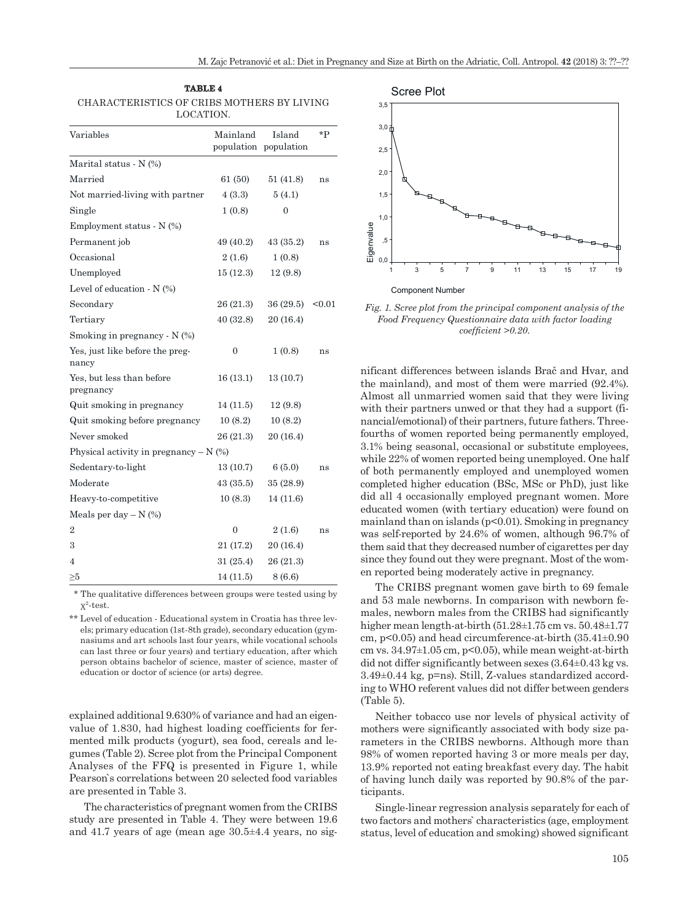| <b>TABLE 4</b>                             |
|--------------------------------------------|
| CHARACTERISTICS OF CRIBS MOTHERS BY LIVING |
| LOCATION.                                  |

| Variables                                | Mainland     | Island<br>population population | *P     |
|------------------------------------------|--------------|---------------------------------|--------|
| Marital status - $N$ $(\%)$              |              |                                 |        |
| Married                                  | 61(50)       | 51 (41.8)                       | ns     |
| Not married-living with partner          | 4(3.3)       | 5(4.1)                          |        |
| Single                                   | 1(0.8)       | 0                               |        |
| Employment status - N (%)                |              |                                 |        |
| Permanent job                            | 49 (40.2)    | 43 (35.2)                       | ns     |
| Occasional                               | 2(1.6)       | 1(0.8)                          |        |
| Unemployed                               | 15(12.3)     | 12(9.8)                         |        |
| Level of education - N (%)               |              |                                 |        |
| Secondary                                | 26 (21.3)    | 36(29.5)                        | $0.01$ |
| Tertiary                                 | 40(32.8)     | 20 (16.4)                       |        |
| Smoking in pregnancy - N (%)             |              |                                 |        |
| Yes, just like before the preg-<br>nancy | 0            | 1(0.8)                          | ns     |
| Yes, but less than before<br>pregnancy   | 16 (13.1)    | 13(10.7)                        |        |
| Quit smoking in pregnancy                | 14(11.5)     | 12(9.8)                         |        |
| Quit smoking before pregnancy            | 10(8.2)      | 10(8.2)                         |        |
| Never smoked                             | 26 (21.3)    | 20 (16.4)                       |        |
| Physical activity in pregnancy $- N$ (%) |              |                                 |        |
| Sedentary-to-light                       | 13 (10.7)    | 6(5.0)                          | ns     |
| Moderate                                 | 43(35.5)     | 35 (28.9)                       |        |
| Heavy-to-competitive                     | 10(8.3)      | 14 (11.6)                       |        |
| Meals per day $-N$ (%)                   |              |                                 |        |
| $\overline{2}$                           | $\mathbf{0}$ | 2(1.6)                          | ns     |
| 3                                        | 21 (17.2)    | 20 (16.4)                       |        |
| 4                                        | 31 (25.4)    | 26 (21.3)                       |        |
| ≥5                                       | 14(11.5)     | 8(6.6)                          |        |

 \* The qualitative differences between groups were tested using by  $x^2$ -test.

\*\* Level of education - Educational system in Croatia has three levels; primary education (1st-8th grade), secondary education (gymnasiums and art schools last four years, while vocational schools can last three or four years) and tertiary education, after which person obtains bachelor of science, master of science, master of education or doctor of science (or arts) degree.

explained additional 9.630% of variance and had an eigenvalue of 1.830, had highest loading coefficients for fermented milk products (yogurt), sea food, cereals and legumes (Table 2). Scree plot from the Principal Component Analyses of the FFQ is presented in Figure 1, while Pearson`s correlations between 20 selected food variables are presented in Table 3.

The characteristics of pregnant women from the CRIBS study are presented in Table 4. They were between 19.6 and 41.7 years of age (mean age 30.5±4.4 years, no sig-



*Fig. 1. Scree plot from the principal component analysis of the Food Frequency Questionnaire data with factor loading coefficient >0.20.*

nificant differences between islands Brač and Hvar, and the mainland), and most of them were married (92.4%). Almost all unmarried women said that they were living with their partners unwed or that they had a support (financial/emotional) of their partners, future fathers. Threefourths of women reported being permanently employed, 3.1% being seasonal, occasional or substitute employees, while 22% of women reported being unemployed. One half of both permanently employed and unemployed women completed higher education (BSc, MSc or PhD), just like did all 4 occasionally employed pregnant women. More educated women (with tertiary education) were found on mainland than on islands  $(p<0.01)$ . Smoking in pregnancy was self-reported by 24.6% of women, although 96.7% of them said that they decreased number of cigarettes per day since they found out they were pregnant. Most of the women reported being moderately active in pregnancy.

The CRIBS pregnant women gave birth to 69 female and 53 male newborns. In comparison with newborn females, newborn males from the CRIBS had significantly higher mean length-at-birth (51.28±1.75 cm vs. 50.48±1.77 cm, p<0.05) and head circumference-at-birth (35.41±0.90 cm vs.  $34.97\pm1.05$  cm,  $p<0.05$ ), while mean weight-at-birth did not differ significantly between sexes (3.64±0.43 kg vs. 3.49±0.44 kg, p=ns). Still, Z-values standardized according to WHO referent values did not differ between genders (Table 5).

Neither tobacco use nor levels of physical activity of mothers were significantly associated with body size parameters in the CRIBS newborns. Although more than 98% of women reported having 3 or more meals per day, 13.9% reported not eating breakfast every day. The habit of having lunch daily was reported by 90.8% of the participants.

Single-linear regression analysis separately for each of two factors and mothers` characteristics (age, employment status, level of education and smoking) showed significant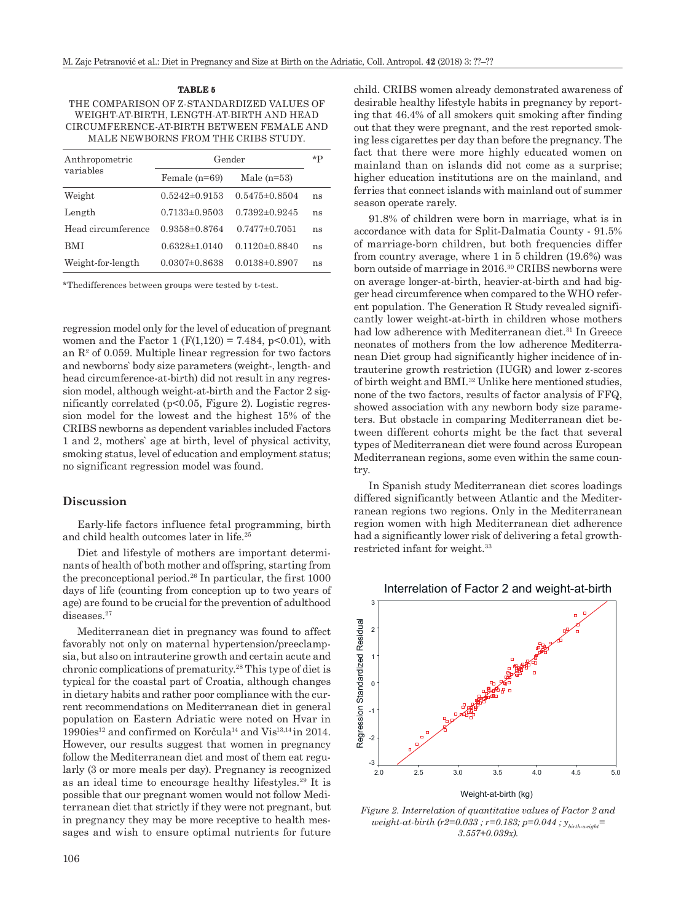## THE COMPARISON OF Z-STANDARDIZED VALUES OF WEIGHT-AT-BIRTH, LENGTH-AT-BIRTH AND HEAD CIRCUMFERENCE-AT-BIRTH BETWEEN FEMALE AND MALE NEWBORNS FROM THE CRIBS STUDY.

**TABLE 5**

| Anthropometric     |                     | Gender              |    |
|--------------------|---------------------|---------------------|----|
| variables          | Female $(n=69)$     | Male $(n=53)$       |    |
| Weight             | $0.5242 \pm 0.9153$ | $0.5475 \pm 0.8504$ | ns |
| Length             | $0.7133\pm0.9503$   | $0.7392\pm0.9245$   | ns |
| Head circumference | $0.9358\pm0.8764$   | $0.7477 \pm 0.7051$ | ns |
| BMI                | $0.6328 \pm 1.0140$ | $0.1120 \pm 0.8840$ | ns |
| Weight-for-length  | $0.0307 \pm 0.8638$ | $0.0138 \pm 0.8907$ | ns |

\*Thedifferences between groups were tested by t-test.

regression model only for the level of education of pregnant women and the Factor 1 ( $F(1,120) = 7.484$ ,  $p<0.01$ ), with an  $\mathbb{R}^2$  of 0.059. Multiple linear regression for two factors and newborns` body size parameters (weight-, length- and head circumference-at-birth) did not result in any regression model, although weight-at-birth and the Factor 2 significantly correlated (p<0.05, Figure 2). Logistic regression model for the lowest and the highest 15% of the CRIBS newborns as dependent variables included Factors 1 and 2, mothers` age at birth, level of physical activity, smoking status, level of education and employment status; no significant regression model was found.

#### **Discussion**

Early-life factors influence fetal programming, birth and child health outcomes later in life.25

Diet and lifestyle of mothers are important determinants of health of both mother and offspring, starting from the preconceptional period.26 In particular, the first 1000 days of life (counting from conception up to two years of age) are found to be crucial for the prevention of adulthood diseases.<sup>27</sup>

Mediterranean diet in pregnancy was found to affect favorably not only on maternal hypertension/preeclampsia, but also on intrauterine growth and certain acute and chronic complications of prematurity.28 This type of diet is typical for the coastal part of Croatia, although changes in dietary habits and rather poor compliance with the current recommendations on Mediterranean diet in general population on Eastern Adriatic were noted on Hvar in 1990ies12 and confirmed on Korčula14 and Vis13,14 in 2014. However, our results suggest that women in pregnancy follow the Mediterranean diet and most of them eat regularly (3 or more meals per day). Pregnancy is recognized as an ideal time to encourage healthy lifestyles.29 It is possible that our pregnant women would not follow Mediterranean diet that strictly if they were not pregnant, but in pregnancy they may be more receptive to health messages and wish to ensure optimal nutrients for future child. CRIBS women already demonstrated awareness of desirable healthy lifestyle habits in pregnancy by reporting that 46.4% of all smokers quit smoking after finding out that they were pregnant, and the rest reported smoking less cigarettes per day than before the pregnancy. The fact that there were more highly educated women on mainland than on islands did not come as a surprise; higher education institutions are on the mainland, and ferries that connect islands with mainland out of summer season operate rarely.

91.8% of children were born in marriage, what is in accordance with data for Split-Dalmatia County - 91.5% of marriage-born children, but both frequencies differ from country average, where 1 in 5 children (19.6%) was born outside of marriage in 2016.<sup>30</sup> CRIBS newborns were on average longer-at-birth, heavier-at-birth and had bigger head circumference when compared to the WHO referent population. The Generation R Study revealed significantly lower weight-at-birth in children whose mothers had low adherence with Mediterranean diet.<sup>31</sup> In Greece neonates of mothers from the low adherence Mediterranean Diet group had significantly higher incidence of intrauterine growth restriction (IUGR) and lower z-scores of birth weight and BMI.32 Unlike here mentioned studies, none of the two factors, results of factor analysis of FFQ, showed association with any newborn body size parameters. But obstacle in comparing Mediterranean diet between different cohorts might be the fact that several types of Mediterranean diet were found across European Mediterranean regions, some even within the same country.

In Spanish study Mediterranean diet scores loadings differed significantly between Atlantic and the Mediterranean regions two regions. Only in the Mediterranean region women with high Mediterranean diet adherence had a significantly lower risk of delivering a fetal growthrestricted infant for weight.33





*Figure 2. Interrelation of quantitative values of Factor 2 and weight-at-birth (r2=0.033 ; r=0.183; p=0.044 ; ybirth-weight= 3.557+0.039x).*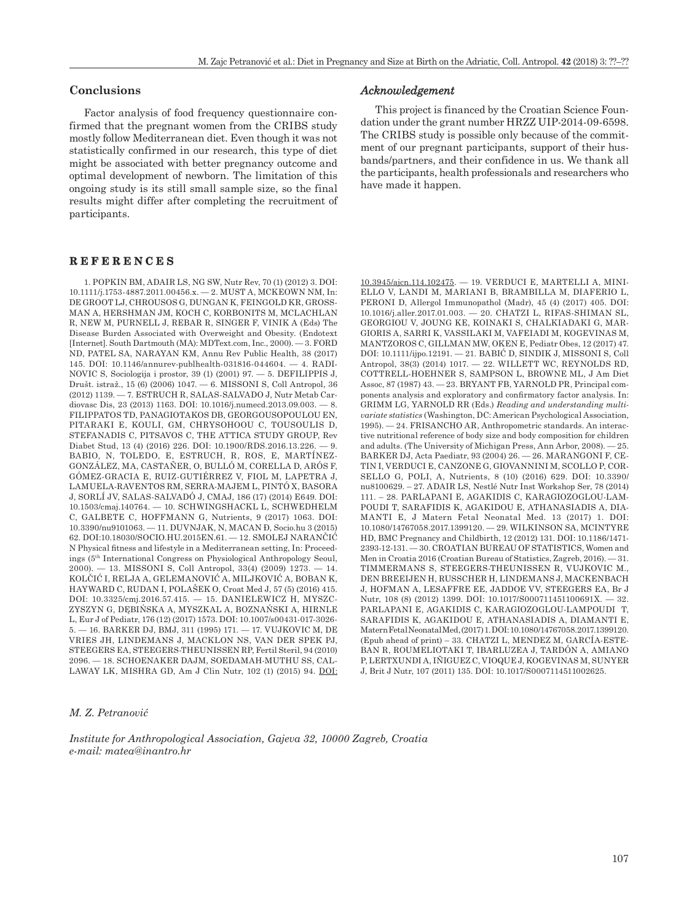## **Conclusions**

Factor analysis of food frequency questionnaire confirmed that the pregnant women from the CRIBS study mostly follow Mediterranean diet. Even though it was not statistically confirmed in our research, this type of diet might be associated with better pregnancy outcome and optimal development of newborn. The limitation of this ongoing study is its still small sample size, so the final results might differ after completing the recruitment of participants.

#### **REFERENCES**

1. POPKIN BM, ADAIR LS, NG SW, Nutr Rev, 70 (1) (2012) 3. DOI: 10.1111/j.1753-4887.2011.00456.x. — 2. MUST A, MCKEOWN NM, In: DE GROOT LJ, CHROUSOS G, DUNGAN K, FEINGOLD KR, GROSS-MAN A, HERSHMAN JM, KOCH C, KORBONITS M, MCLACHLAN R, NEW M, PURNELL J, REBAR R, SINGER F, VINIK A (Eds) The Disease Burden Associated with Overweight and Obesity. (Endotext [Internet]. South Dartmouth (MA): MDText.com, Inc., 2000). — 3. FORD ND, PATEL SA, NARAYAN KM, Annu Rev Public Health, 38 (2017) 145. DOI: 10.1146/annurev-publhealth-031816-044604. — 4. RADI-NOVIC S, Sociologija i prostor, 39 (1) (2001) 97. — 5. DEFILIPPIS J, Društ. istraž., 15 (6) (2006) 1047. — 6. MISSONI S, Coll Antropol, 36 (2012) 1139. — 7. ESTRUCH R, SALAS-SALVADO J, Nutr Metab Cardiovasc Dis, 23 (2013) 1163. DOI: 10.1016/j.numecd.2013.09.003. — 8. FILIPPATOS TD, PANAGIOTAKOS DB, GEORGOUSOPOULOU EN, PITARAKI E, KOULI, GM, CHRYSOHOOU C, TOUSOULIS D, STEFANADIS C, PITSAVOS C, THE ATTICA STUDY GROUP, Rev Diabet Stud, 13 (4) (2016) 226. DOI: 10.1900/RDS.2016.13.226. — 9. BABIO, N, TOLEDO, E, ESTRUCH, R, ROS, E, MARTÍNEZ-GONZÁLEZ, MA, CASTAÑER, O, BULLÓ M, CORELLA D, ARÓS F, GÓMEZ-GRACIA E, RUIZ-GUTIÉRREZ V, FIOL M, LAPETRA J, LAMUELA-RAVENTOS RM, SERRA-MAJEM L, PINTÓ X, BASORA J, SORLÍ JV, SALAS-SALVADÓ J, CMAJ, 186 (17) (2014) E649. DOI: 10.1503/cmaj.140764. — 10. SCHWINGSHACKL L, SCHWEDHELM C, GALBETE C, HOFFMANN G, Nutrients, 9 (2017) 1063. DOI: 10.3390/nu9101063. — 11. DUVNJAK, N, MACAN Đ, Socio.hu 3 (2015) 62. DOI:10.18030/SOCIO.HU.2015EN.61. — 12. SMOLEJ NARANČIĆ N Physical fitness and lifestyle in a Mediterranean setting, In: Proceedings (5th International Congress on Physiological Anthropology Seoul, 2000). — 13. MISSONI S, Coll Antropol, 33(4) (2009) 1273. — 14. KOLČIĆ I, RELJA A, GELEMANOVIĆ A, MILJKOVIĆ A, BOBAN K, HAYWARD C, RUDAN I, POLAŠEK O, Croat Med J, 57 (5) (2016) 415. DOI: 10.3325/cmj.2016.57.415. — 15. DANIELEWICZ H, MYSZC-ZYSZYN G, DĘBIŃSKA A, MYSZKAL A, BOZNAŃSKI A, HIRNLE L, Eur J of Pediatr, 176 (12) (2017) 1573. DOI: 10.1007/s00431-017-3026- 5. — 16. BARKER DJ, BMJ, 311 (1995) 171. — 17. VUJKOVIC M, DE VRIES JH, LINDEMANS J, MACKLON NS, VAN DER SPEK PJ, STEEGERS EA, STEEGERS-THEUNISSEN RP, Fertil Steril, 94 (2010) 2096. — 18. SCHOENAKER DAJM, SOEDAMAH-MUTHU SS, CAL-LAWAY LK, MISHRA GD, Am J Clin Nutr, 102 (1) (2015) 94. [DOI:](https://doi.org/10.3945/ajcn.114.102475) 

### *Acknowledgement*

This project is financed by the Croatian Science Foundation under the grant number HRZZ UIP-2014-09-6598. The CRIBS study is possible only because of the commitment of our pregnant participants, support of their husbands/partners, and their confidence in us. We thank all the participants, health professionals and researchers who have made it happen.

[10.3945/ajcn.114.102475](https://doi.org/10.3945/ajcn.114.102475). — 19. VERDUCI E, MARTELLI A, MINI-ELLO V, LANDI M, MARIANI B, BRAMBILLA M, DIAFERIO L, PERONI D, Allergol Immunopathol (Madr), 45 (4) (2017) 405. DOI: 10.1016/j.aller.2017.01.003. — 20. CHATZI L, RIFAS-SHIMAN SL, GEORGIOU V, JOUNG KE, KOINAKI S, CHALKIADAKI G, MAR-GIORIS A, SARRI K, VASSILAKI M, VAFEIADI M, KOGEVINAS M, MANTZOROS C, GILLMAN MW, OKEN E, Pediatr Obes, 12 (2017) 47. DOI: 10.1111/ijpo.12191. — 21. BABIĆ D, SINDIK J, MISSONI S, Coll Antropol, 38(3) (2014) 1017. — 22. WILLETT WC, REYNOLDS RD, COTTRELL-HOEHNER S, SAMPSON L, BROWNE ML, J Am Diet Assoc, 87 (1987) 43. — 23. BRYANT FB, YARNOLD PR, Principal components analysis and exploratory and confirmatory factor analysis. In: GRIMM LG, YARNOLD RR (Eds.) *Reading and understanding multivariate statistics* (Washington, DC: American Psychological Association, 1995). — 24. FRISANCHO AR, Anthropometric standards. An interactive nutritional reference of body size and body composition for children and adults. (The University of Michigan Press, Ann Arbor, 2008). — 25. BARKER DJ, Acta Paediatr, 93 (2004) 26. — 26. MARANGONI F, CE-TIN I, VERDUCI E, CANZONE G, GIOVANNINI M, SCOLLO P, COR-SELLO G, POLI, A, Nutrients, 8 (10) (2016) 629. DOI: 10.3390/ nu8100629. – 27. ADAIR LS, Nestlé Nutr Inst Workshop Ser, 78 (2014) 111. – 28. PARLAPANI E, AGAKIDIS C, KARAGIOZOGLOU-LAM-POUDI T, SARAFIDIS K, AGAKIDOU E, ATHANASIADIS A, DIA-MANTI E, J Matern Fetal Neonatal Med. 13 (2017) 1. DOI: 10.1080/14767058.2017.1399120. — 29. WILKINSON SA, MCINTYRE HD, BMC Pregnancy and Childbirth, 12 (2012) 131. DOI: 10.1186/1471- 2393-12-131. — 30. CROATIAN BUREAU OF STATISTICS, Women and Men in Croatia 2016 (Croatian Bureau of Statistics, Zagreb, 2016). — 31. TIMMERMANS S, STEEGERS-THEUNISSEN R, VUJKOVIC M., DEN BREEIJEN H, RUSSCHER H, LINDEMANS J, MACKENBACH J, HOFMAN A, LESAFFRE EE, JADDOE VV, STEEGERS EA, Br J Nutr, 108 (8) (2012) 1399. DOI: 10.1017/S000711451100691X. — 32. PARLAPANI E, AGAKIDIS C, KARAGIOZOGLOU-LAMPOUDI T, SARAFIDIS K, AGAKIDOU E, ATHANASIADIS A, DIAMANTI E, Matern Fetal Neonatal Med, (2017) 1. DOI: 10.1080/14767058.2017.1399120. (Epub ahead of print) – 33. CHATZI L, MENDEZ M, GARCÍA-ESTE-BAN R, ROUMELIOTAKI T, IBARLUZEA J, TARDÓN A, AMIANO P, LERTXUNDI A, IÑIGUEZ C, VIOQUE J, KOGEVINAS M, SUNYER J, Brit J Nutr, 107 (2011) 135. DOI: 10.1017/S0007114511002625.

#### *M. Z. Petranović*

*Institute for Anthropological Association, Gajeva 32, 10000 Zagreb, Croatia e-mail: matea@inantro.hr*